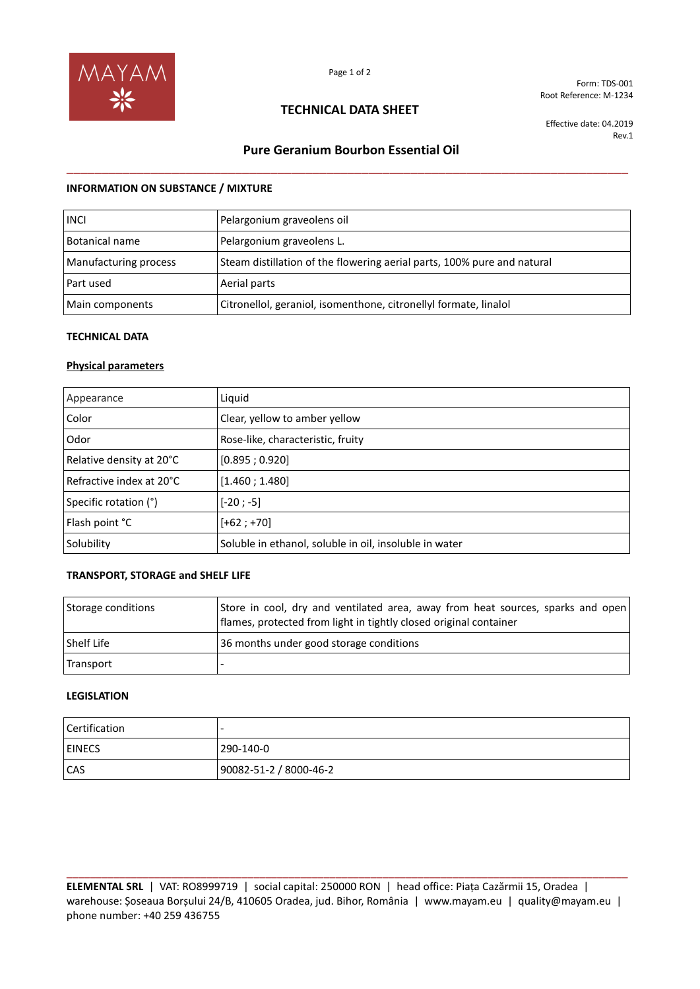

Form: TDS-001 Root Reference: M-1234

## **TECHNICAL DATA SHEET**

Effective date: 04.2019 Rev.1

# **Pure Geranium Bourbon Essential Oil**  \_\_\_\_\_\_\_\_\_\_\_\_\_\_\_\_\_\_\_\_\_\_\_\_\_\_\_\_\_\_\_\_\_\_\_\_\_\_\_\_\_\_\_\_\_\_\_\_\_\_\_\_\_\_\_\_\_\_\_\_\_\_\_\_\_\_\_\_\_\_\_\_\_\_\_\_\_\_\_\_

#### **INFORMATION ON SUBSTANCE / MIXTURE**

| <b>INCI</b>           | Pelargonium graveolens oil                                              |
|-----------------------|-------------------------------------------------------------------------|
| Botanical name        | Pelargonium graveolens L.                                               |
| Manufacturing process | Steam distillation of the flowering aerial parts, 100% pure and natural |
| Part used             | Aerial parts                                                            |
| Main components       | Citronellol, geraniol, isomenthone, citronellyl formate, linalol        |

#### **TECHNICAL DATA**

#### **Physical parameters**

| Appearance                 | Liquid                                                 |
|----------------------------|--------------------------------------------------------|
| Color                      | Clear, yellow to amber yellow                          |
| Odor                       | Rose-like, characteristic, fruity                      |
| Relative density at 20°C   | [0.895; 0.920]                                         |
| l Refractive index at 20°C | [1.460; 1.480]                                         |
| Specific rotation (°)      | $[-20; -5]$                                            |
| Flash point °C             | $[+62; +70]$                                           |
| Solubility                 | Soluble in ethanol, soluble in oil, insoluble in water |

### **TRANSPORT, STORAGE and SHELF LIFE**

| Storage conditions | Store in cool, dry and ventilated area, away from heat sources, sparks and open<br>flames, protected from light in tightly closed original container |
|--------------------|------------------------------------------------------------------------------------------------------------------------------------------------------|
| Shelf Life         | 36 months under good storage conditions                                                                                                              |
| Transport          |                                                                                                                                                      |

#### **LEGISLATION**

| Certification |                        |
|---------------|------------------------|
| <b>EINECS</b> | 290-140-0              |
| <b>CAS</b>    | 90082-51-2 / 8000-46-2 |

**ELEMENTAL SRL** | VAT: RO8999719 | social capital: 250000 RON | head office: Piața Cazărmii 15, Oradea | warehouse: Șoseaua Borșului 24/B, 410605 Oradea, jud. Bihor, România | www.mayam.eu | quality@mayam.eu | phone number: +40 259 436755

**\_\_\_\_\_\_\_\_\_\_\_\_\_\_\_\_\_\_\_\_\_\_\_\_\_\_\_\_\_\_\_\_\_\_\_\_\_\_\_\_\_\_\_\_\_\_\_\_\_\_\_\_\_\_\_\_\_\_\_\_\_\_\_\_\_\_\_\_\_\_\_\_\_\_\_\_\_\_\_\_\_\_\_\_\_\_\_\_\_\_\_\_\_\_\_\_**